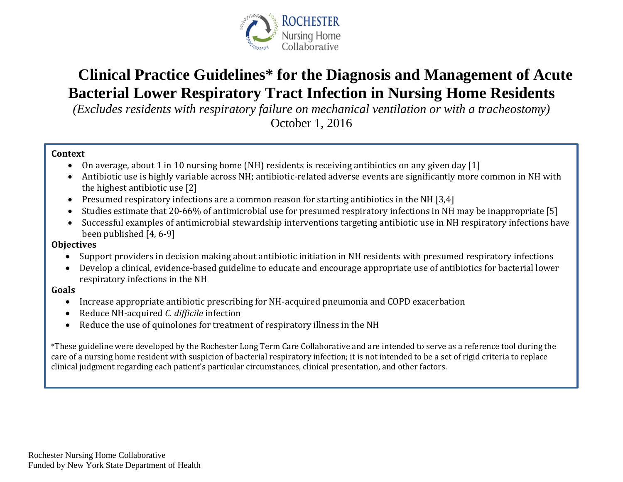

# **Clinical Practice Guidelines\* for the Diagnosis and Management of Acute Bacterial Lower Respiratory Tract Infection in Nursing Home Residents**

*(Excludes residents with respiratory failure on mechanical ventilation or with a tracheostomy)* 

October 1, 2016

#### **Context**

- On average, about 1 in 10 nursing home (NH) residents is receiving antibiotics on any given day [1]
- Antibiotic use is highly variable across NH; antibiotic-related adverse events are significantly more common in NH with the highest antibiotic use [2]
- Presumed respiratory infections are a common reason for starting antibiotics in the NH [3,4]
- Studies estimate that 20-66% of antimicrobial use for presumed respiratory infections in NH may be inappropriate [5]
- Successful examples of antimicrobial stewardship interventions targeting antibiotic use in NH respiratory infections have been published [4, 6-9]

#### **Objectives**

- Support providers in decision making about antibiotic initiation in NH residents with presumed respiratory infections
- Develop a clinical, evidence-based guideline to educate and encourage appropriate use of antibiotics for bacterial lower respiratory infections in the NH

#### **Goals**

- Increase appropriate antibiotic prescribing for NH-acquired pneumonia and COPD exacerbation
- Reduce NH-acquired *C. difficile* infection
- Reduce the use of quinolones for treatment of respiratory illness in the NH

\*These guideline were developed by the Rochester Long Term Care Collaborative and are intended to serve as a reference tool during the care of a nursing home resident with suspicion of bacterial respiratory infection; it is not intended to be a set of rigid criteria to replace clinical judgment regarding each patient's particular circumstances, clinical presentation, and other factors.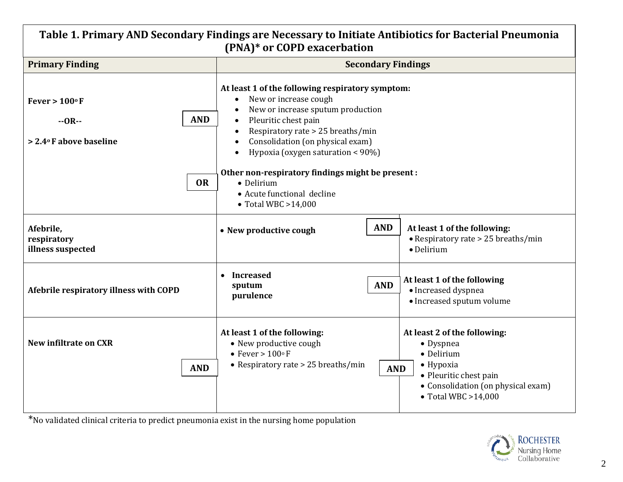| Table 1. Primary AND Secondary Findings are Necessary to Initiate Antibiotics for Bacterial Pneumonia<br>(PNA)* or COPD exacerbation |                                                                                                                                                                                                                                                                                                                                                                                                                                          |                                                                                                                                                                             |  |  |  |  |  |  |
|--------------------------------------------------------------------------------------------------------------------------------------|------------------------------------------------------------------------------------------------------------------------------------------------------------------------------------------------------------------------------------------------------------------------------------------------------------------------------------------------------------------------------------------------------------------------------------------|-----------------------------------------------------------------------------------------------------------------------------------------------------------------------------|--|--|--|--|--|--|
| <b>Primary Finding</b>                                                                                                               |                                                                                                                                                                                                                                                                                                                                                                                                                                          | <b>Secondary Findings</b>                                                                                                                                                   |  |  |  |  |  |  |
| Fever > $100^{\circ}$ F<br><b>AND</b><br>$-OR-$<br>> 2.4°F above baseline                                                            | At least 1 of the following respiratory symptom:<br>New or increase cough<br>$\bullet$<br>New or increase sputum production<br>Pleuritic chest pain<br>$\bullet$<br>Respiratory rate > 25 breaths/min<br>$\bullet$<br>Consolidation (on physical exam)<br>Hypoxia (oxygen saturation < 90%)<br>$\bullet$<br>Other non-respiratory findings might be present :<br>• Delirium<br>• Acute functional decline<br>$\bullet$ Total WBC >14,000 |                                                                                                                                                                             |  |  |  |  |  |  |
| <b>OR</b>                                                                                                                            |                                                                                                                                                                                                                                                                                                                                                                                                                                          |                                                                                                                                                                             |  |  |  |  |  |  |
| Afebrile,<br>respiratory<br>illness suspected                                                                                        | <b>AND</b><br>• New productive cough                                                                                                                                                                                                                                                                                                                                                                                                     | At least 1 of the following:<br>• Respiratory rate > 25 breaths/min<br>· Delirium                                                                                           |  |  |  |  |  |  |
| Afebrile respiratory illness with COPD                                                                                               | • Increased<br><b>AND</b><br>sputum<br>purulence                                                                                                                                                                                                                                                                                                                                                                                         | At least 1 of the following<br>· Increased dyspnea<br>• Increased sputum volume                                                                                             |  |  |  |  |  |  |
| <b>New infiltrate on CXR</b><br><b>AND</b>                                                                                           | At least 1 of the following:<br>• New productive cough<br>• Fever > $100^{\circ}$ F<br>• Respiratory rate $> 25$ breaths/min<br><b>AND</b>                                                                                                                                                                                                                                                                                               | At least 2 of the following:<br>• Dyspnea<br>• Delirium<br>$\bullet$ Hypoxia<br>• Pleuritic chest pain<br>• Consolidation (on physical exam)<br>$\bullet$ Total WBC >14,000 |  |  |  |  |  |  |

\*No validated clinical criteria to predict pneumonia exist in the nursing home population

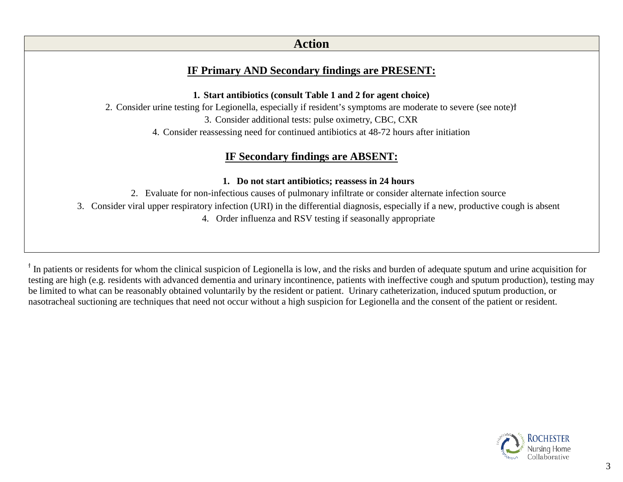### **Action**

### **IF Primary AND Secondary findings are PRESENT:**

**1. Start antibiotics (consult Table 1 and 2 for agent choice)**

2. Consider urine testing for Legionella, especially if resident's symptoms are moderate to severe (see note)†

3. Consider additional tests: pulse oximetry, CBC, CXR

4. Consider reassessing need for continued antibiotics at 48-72 hours after initiation

### **IF Secondary findings are ABSENT:**

#### **1. Do not start antibiotics; reassess in 24 hours**

2. Evaluate for non-infectious causes of pulmonary infiltrate or consider alternate infection source

3. Consider viral upper respiratory infection (URI) in the differential diagnosis, especially if a new, productive cough is absent

4. Order influenza and RSV testing if seasonally appropriate

<sup>†</sup> In patients or residents for whom the clinical suspicion of Legionella is low, and the risks and burden of adequate sputum and urine acquisition for testing are high (e.g. residents with advanced dementia and urinary incontinence, patients with ineffective cough and sputum production), testing may be limited to what can be reasonably obtained voluntarily by the resident or patient. Urinary catheterization, induced sputum production, or nasotracheal suctioning are techniques that need not occur without a high suspicion for Legionella and the consent of the patient or resident.

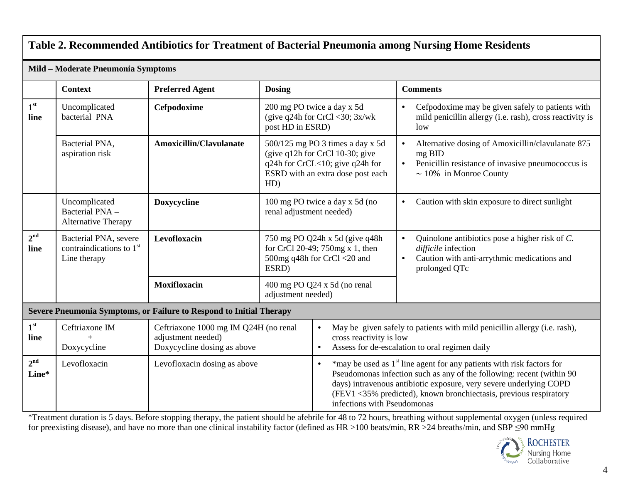### **Table 2. Recommended Antibiotics for Treatment of Bacterial Pneumonia among Nursing Home Residents**

| Mild - Moderate Pneumonia Symptoms                                  |                                                                     |                                                                                            |                                                                                                                                                                  |                                                                                                                                                                                                                                                                                                                                                    |                                                                                                                                                                            |  |  |  |
|---------------------------------------------------------------------|---------------------------------------------------------------------|--------------------------------------------------------------------------------------------|------------------------------------------------------------------------------------------------------------------------------------------------------------------|----------------------------------------------------------------------------------------------------------------------------------------------------------------------------------------------------------------------------------------------------------------------------------------------------------------------------------------------------|----------------------------------------------------------------------------------------------------------------------------------------------------------------------------|--|--|--|
|                                                                     | <b>Context</b>                                                      | <b>Preferred Agent</b>                                                                     | <b>Dosing</b>                                                                                                                                                    |                                                                                                                                                                                                                                                                                                                                                    | <b>Comments</b>                                                                                                                                                            |  |  |  |
| 1 <sup>st</sup><br>line                                             | Uncomplicated<br>bacterial PNA                                      | Cefpodoxime                                                                                | 200 mg PO twice a day x 5d<br>(give $q24h$ for CrCl <30; $3x/wk$<br>post HD in ESRD)                                                                             |                                                                                                                                                                                                                                                                                                                                                    | Cefpodoxime may be given safely to patients with<br>$\bullet$<br>mild penicillin allergy (i.e. rash), cross reactivity is<br>low                                           |  |  |  |
|                                                                     | Bacterial PNA,<br>aspiration risk                                   | <b>Amoxicillin/Clavulanate</b>                                                             | 500/125 mg PO 3 times a day x 5d<br>(give $q12h$ for CrCl 10-30; give<br>q24h for CrCL<10; give q24h for<br>ESRD with an extra dose post each<br>HD)             |                                                                                                                                                                                                                                                                                                                                                    | Alternative dosing of Amoxicillin/clavulanate 875<br>$\bullet$<br>mg BID<br>Penicillin resistance of invasive pneumococcus is<br>$\bullet$<br>$\sim 10\%$ in Monroe County |  |  |  |
|                                                                     | Uncomplicated<br>Bacterial PNA -<br>Alternative Therapy             | <b>Doxycycline</b>                                                                         | 100 mg PO twice a day x 5d (no<br>renal adjustment needed)                                                                                                       |                                                                                                                                                                                                                                                                                                                                                    | Caution with skin exposure to direct sunlight<br>$\bullet$                                                                                                                 |  |  |  |
| 2 <sup>nd</sup><br>line                                             | Bacterial PNA, severe<br>contraindications to $1st$<br>Line therapy | Levofloxacin                                                                               | 750 mg PO Q24h x 5d (give q48h)<br>for CrCl 20-49; 750mg x 1, then<br>500mg q48h for CrCl <20 and<br>ESRD)<br>400 mg PO Q24 x 5d (no renal<br>adjustment needed) |                                                                                                                                                                                                                                                                                                                                                    | Quinolone antibiotics pose a higher risk of C.<br>$\bullet$<br>difficile infection<br>Caution with anti-arrythmic medications and<br>$\bullet$<br>prolonged QTc            |  |  |  |
|                                                                     |                                                                     | <b>Moxifloxacin</b>                                                                        |                                                                                                                                                                  |                                                                                                                                                                                                                                                                                                                                                    |                                                                                                                                                                            |  |  |  |
| Severe Pneumonia Symptoms, or Failure to Respond to Initial Therapy |                                                                     |                                                                                            |                                                                                                                                                                  |                                                                                                                                                                                                                                                                                                                                                    |                                                                                                                                                                            |  |  |  |
| 1 <sup>st</sup><br>line                                             | Ceftriaxone IM<br>Doxycycline                                       | Ceftriaxone 1000 mg IM Q24H (no renal<br>adjustment needed)<br>Doxycycline dosing as above |                                                                                                                                                                  | May be given safely to patients with mild penicillin allergy (i.e. rash),<br>$\bullet$<br>cross reactivity is low<br>Assess for de-escalation to oral regimen daily<br>$\bullet$                                                                                                                                                                   |                                                                                                                                                                            |  |  |  |
| 2 <sup>nd</sup><br>Line*                                            | Levofloxacin                                                        | Levofloxacin dosing as above                                                               |                                                                                                                                                                  | *may be used as 1 <sup>st</sup> line agent for any patients with risk factors for<br>$\bullet$<br>Pseudomonas infection such as any of the following: recent (within 90)<br>days) intravenous antibiotic exposure, very severe underlying COPD<br>(FEV1 <35% predicted), known bronchiectasis, previous respiratory<br>infections with Pseudomonas |                                                                                                                                                                            |  |  |  |

\*Treatment duration is 5 days. Before stopping therapy, the patient should be afebrile for 48 to 72 hours, breathing without supplemental oxygen (unless required for preexisting disease), and have no more than one clinical instability factor (defined as HR >100 beats/min, RR >24 breaths/min, and SBP ≤90 mmHg

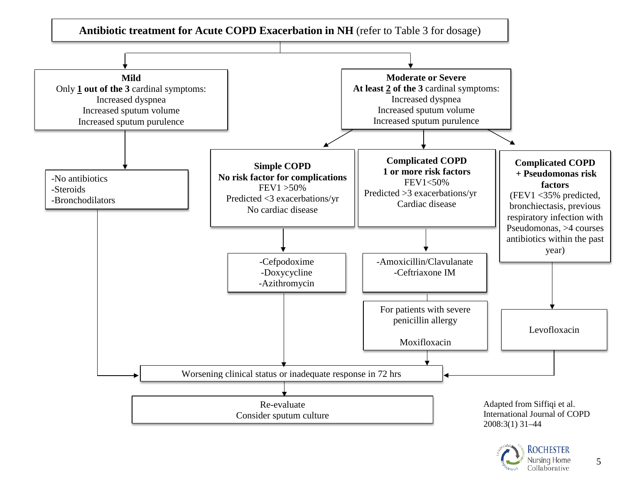

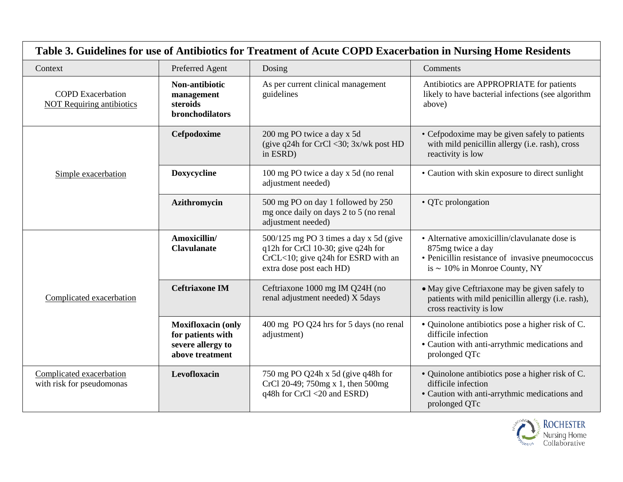| Table 3. Guidelines for use of Antibiotics for Treatment of Acute COPD Exacerbation in Nursing Home Residents |                                                                                        |                                                                                                                                                 |                                                                                                                                                              |  |  |  |  |
|---------------------------------------------------------------------------------------------------------------|----------------------------------------------------------------------------------------|-------------------------------------------------------------------------------------------------------------------------------------------------|--------------------------------------------------------------------------------------------------------------------------------------------------------------|--|--|--|--|
| Preferred Agent<br>Context                                                                                    |                                                                                        | Dosing                                                                                                                                          | Comments                                                                                                                                                     |  |  |  |  |
| <b>COPD</b> Exacerbation<br><b>NOT Requiring antibiotics</b>                                                  | Non-antibiotic<br>management<br>steroids<br>bronchodilators                            | As per current clinical management<br>guidelines                                                                                                | Antibiotics are APPROPRIATE for patients<br>likely to have bacterial infections (see algorithm<br>above)                                                     |  |  |  |  |
|                                                                                                               | Cefpodoxime                                                                            | 200 mg PO twice a day x 5d<br>(give q24h for CrCl <30; $3x/wk$ post HD<br>in ESRD)                                                              | • Cefpodoxime may be given safely to patients<br>with mild penicillin allergy (i.e. rash), cross<br>reactivity is low                                        |  |  |  |  |
| Simple exacerbation                                                                                           | Doxycycline                                                                            | 100 mg PO twice a day x 5d (no renal<br>adjustment needed)                                                                                      | • Caution with skin exposure to direct sunlight                                                                                                              |  |  |  |  |
|                                                                                                               | Azithromycin                                                                           | 500 mg PO on day 1 followed by 250<br>mg once daily on days 2 to 5 (no renal<br>adjustment needed)                                              | • QTc prolongation                                                                                                                                           |  |  |  |  |
| Complicated exacerbation                                                                                      | Amoxicillin/<br><b>Clavulanate</b>                                                     | 500/125 mg PO 3 times a day x 5d (give<br>q12h for CrCl 10-30; give q24h for<br>CrCL<10; give q24h for ESRD with an<br>extra dose post each HD) | • Alternative amoxicillin/clavulanate dose is<br>875mg twice a day<br>• Penicillin resistance of invasive pneumococcus<br>is $\sim$ 10% in Monroe County, NY |  |  |  |  |
|                                                                                                               | <b>Ceftriaxone IM</b>                                                                  | Ceftriaxone 1000 mg IM Q24H (no<br>renal adjustment needed) X 5days                                                                             | • May give Ceftriaxone may be given safely to<br>patients with mild penicillin allergy (i.e. rash),<br>cross reactivity is low                               |  |  |  |  |
|                                                                                                               | <b>Moxifloxacin (only</b><br>for patients with<br>severe allergy to<br>above treatment | 400 mg PO Q24 hrs for 5 days (no renal<br>adjustment)                                                                                           | • Quinolone antibiotics pose a higher risk of C.<br>difficile infection<br>• Caution with anti-arrythmic medications and<br>prolonged QTc                    |  |  |  |  |
| Complicated exacerbation<br>with risk for pseudomonas                                                         | Levofloxacin                                                                           | 750 mg PO Q24h x 5d (give q48h for<br>CrCl 20-49; 750mg x 1, then 500mg<br>q48h for CrCl <20 and ESRD)                                          | • Quinolone antibiotics pose a higher risk of C.<br>difficile infection<br>• Caution with anti-arrythmic medications and<br>prolonged QTc                    |  |  |  |  |

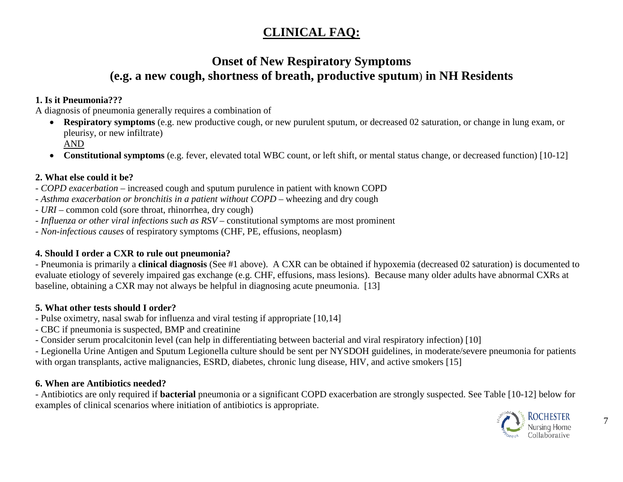## **CLINICAL FAQ:**

## **Onset of New Respiratory Symptoms (e.g. a new cough, shortness of breath, productive sputum**) **in NH Residents**

#### **1. Is it Pneumonia???**

A diagnosis of pneumonia generally requires a combination of

- **Respiratory symptoms** (e.g. new productive cough, or new purulent sputum, or decreased 02 saturation, or change in lung exam, or pleurisy, or new infiltrate) AND
- **Constitutional symptoms** (e.g. fever, elevated total WBC count, or left shift, or mental status change, or decreased function) [10-12]

#### **2. What else could it be?**

- *- COPD exacerbation* increased cough and sputum purulence in patient with known COPD
- *- Asthma exacerbation or bronchitis in a patient without COPD* wheezing and dry cough
- *- URI* common cold (sore throat, rhinorrhea, dry cough)
- *- Influenza or other viral infections such as RSV* constitutional symptoms are most prominent
- *- Non-infectious causes* of respiratory symptoms (CHF, PE, effusions, neoplasm)

#### **4. Should I order a CXR to rule out pneumonia?**

- Pneumonia is primarily a **clinical diagnosis** (See #1 above). A CXR can be obtained if hypoxemia (decreased 02 saturation) is documented to evaluate etiology of severely impaired gas exchange (e.g. CHF, effusions, mass lesions). Because many older adults have abnormal CXRs at baseline, obtaining a CXR may not always be helpful in diagnosing acute pneumonia. [13]

#### **5. What other tests should I order?**

- Pulse oximetry, nasal swab for influenza and viral testing if appropriate [10,14]
- CBC if pneumonia is suspected, BMP and creatinine
- Consider serum procalcitonin level (can help in differentiating between bacterial and viral respiratory infection) [10]

- Legionella Urine Antigen and Sputum Legionella culture should be sent per NYSDOH guidelines, in moderate/severe pneumonia for patients with organ transplants, active malignancies, ESRD, diabetes, chronic lung disease, HIV, and active smokers [15]

#### **6. When are Antibiotics needed?**

- Antibiotics are only required if **bacterial** pneumonia or a significant COPD exacerbation are strongly suspected. See Table [10-12] below for examples of clinical scenarios where initiation of antibiotics is appropriate.

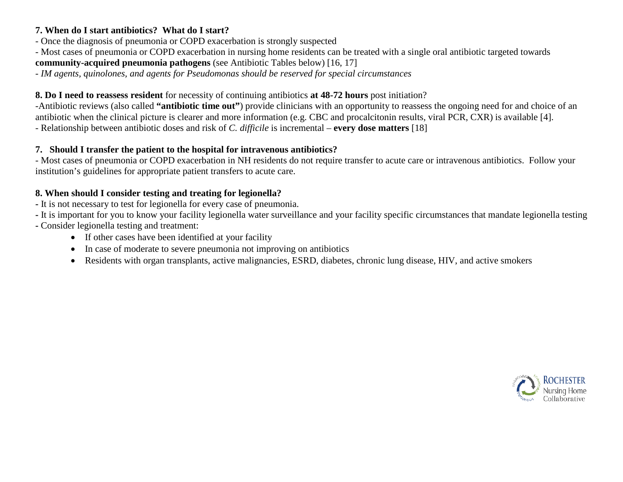#### **7. When do I start antibiotics? What do I start?**

- Once the diagnosis of pneumonia or COPD exacerbation is strongly suspected
- Most cases of pneumonia or COPD exacerbation in nursing home residents can be treated with a single oral antibiotic targeted towards **community-acquired pneumonia pathogens** (see Antibiotic Tables below) [16, 17]

## - *IM agents, quinolones, and agents for Pseudomonas should be reserved for special circumstances*

## **8. Do I need to reassess resident** for necessity of continuing antibiotics **at 48-72 hours** post initiation?

-Antibiotic reviews (also called **"antibiotic time out"**) provide clinicians with an opportunity to reassess the ongoing need for and choice of an antibiotic when the clinical picture is clearer and more information (e.g. CBC and procalcitonin results, viral PCR, CXR) is available [4]. - Relationship between antibiotic doses and risk of *C. difficile* is incremental – **every dose matters** [18]

#### **7. Should I transfer the patient to the hospital for intravenous antibiotics?**

- Most cases of pneumonia or COPD exacerbation in NH residents do not require transfer to acute care or intravenous antibiotics. Follow your institution's guidelines for appropriate patient transfers to acute care.

#### **8. When should I consider testing and treating for legionella?**

- **-** It is not necessary to test for legionella for every case of pneumonia.
- **-** It is important for you to know your facility legionella water surveillance and your facility specific circumstances that mandate legionella testing
- **-** Consider legionella testing and treatment:
	- If other cases have been identified at your facility
	- In case of moderate to severe pneumonia not improving on antibiotics
	- Residents with organ transplants, active malignancies, ESRD, diabetes, chronic lung disease, HIV, and active smokers